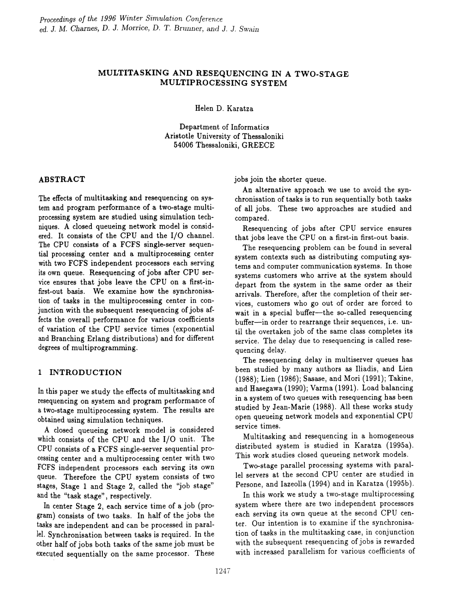## MULTITASKING AND RESEQUENCING IN A TWO-STAGE MULTIPROCESSING SYSTEM

Helen D. Karatza

Department of Informatics Aristotle University of Thessaloniki 54006 Thessaloniki, GREECE

### ABSTRACT

The effects of multitasking and resequencing on system and program performance of a two-stage multiprocessing system are studied using simulation techniques. A closed queueing network model is considered. It consists of the CPU and the I/O channel. The CPU consists of a FCFS single-server sequential processing center and a multiprocessing center with two FCFS independent processors each serving its own queue. Resequencing of jobs after CPU service ensures that jobs leave the CPU on a first-infirst-out basis. We examine how the synchronisation of tasks in the multiprocessing center in conjunction with the subsequent resequencing of jobs affects the overall performance for various coefficients of variation of the CPU service times (exponential and Branching Erlang distributions) and for different degrees of multiprogramming.

### 1 INTRODUCTION

In this paper we study the effects of multitasking and resequencing on system and program performance of a two-stage multiprocessing system. The results are obtained using simulation techniques.

A closed queueing network model is considered which consists of the CPU and the I/O unit. The CPU consists of a FCFS single-server sequential processing center and a multiprocessing center with two FCFS independent processors each serving its own queue. Therefore the CPU system consists of two stages, Stage 1 and Stage 2, called the 'job stage" and the "task stage", respectively.

In center Stage 2, each service time of a job (program) consists of two tasks. In half of the jobs the tasks are independent and can be processed in parallel. Synchronisation between tasks is required. In the other half of jobs both tasks of the same job must be executed sequentially on the same processor. These jobs join the shorter queue.

An alternative approach we use to avoid the synchronisation of tasks is to run sequentially both tasks of all jobs. These two approaches are studied and compared.

Resequencing of jobs after CPU service ensures that jobs leave the CPU on a first-in first-out basis.

The resequencing problem can be found in several system contexts such as distributing computing systems and computer communication systems. In those systems customers who arrive at the system should depart from the system in the same order as their arrivals. Therefore, after the completion of their services, customers who go out of order are forced to wait in a special buffer-the so-called resequencing buffer-in order to rearrange their sequences, i.e. until the overtaken job of the same class completes its service. The delay due to resequencing is called resequencing delay.

The resequencing delay in multiserver queues has been studied by many authors *as* Iliadis, and Lien (1988); Lien (1986); Sasase, and Mori (1991); Takine, and Hasegawa (1990); Varma (1991). Load balancing in a system of two queues with resequencing has been studied by Jean-Marie (1988). All these works study open queueing network models and exponential CPU service times.

Multitasking and resequencing in a homogeneous distributed system is studied in Karatza (1995a). This work studies closed queueing network models.

Two-stage parallel processing systems with parallel servers at the second CPU center are studied in Persone, and lazeolla (1994) and in Karatza (1995b).

In this work we study a two-stage multiprocessing system where there are two independent processors each serving its own queue at the second CPU center. Our intention is to examine if the synchronisation of tasks in the multitasking case, in conjunction with the subsequent resequencing of jobs is rewarded with increased parallelism for various coefficients of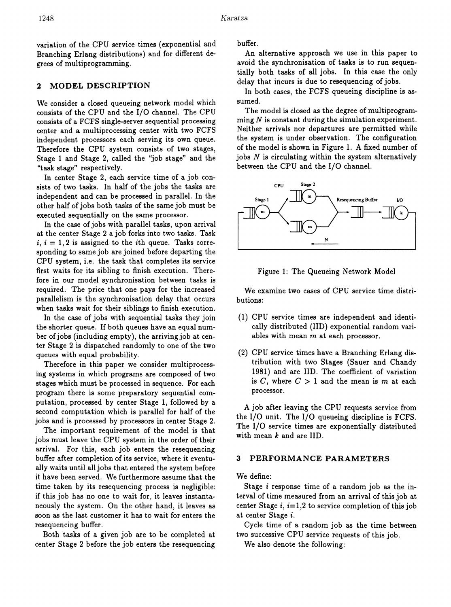variation of the CPU service times (exponential and Branching Erlang distributions) and for different degrees of multiprogramming.

### 2 MODEL DESCRIPTION

We consider a closed queueing network model which consists of the CPU and the I/O channel. The CPU consists of a FCFS single-server sequential processing center and a multiprocessing center with two FCFS independent processors each serving its own queue. Therefore the CPU system consists of two stages, Stage 1 and Stage 2, called the "job stage" and the "task stage" respectively.

In center Stage 2, each service time of a job consists of two tasks. In half of the jobs the tasks are independent and can be processed in parallel. In the other half of jobs both tasks of the same job must be executed sequentially on the same processor.

In the case of jobs with parallel tasks, upon arrival at the center Stage 2 a job forks into two tasks. Task  $i, i = 1, 2$  is assigned to the *i*th queue. Tasks corresponding to same job are joined before departing the CPU system, i.e. the task that completes its service first waits for its sibling to finish execution. Therefore in our model synchronisation between tasks is required. The price that one pays for the increased parallelism is the synchronisation delay that occurs when tasks wait for their siblings to finish execution.

In the case of jobs with sequential tasks they join the shorter queue. If both queues have an equal number of jobs (including empty), the arriving job at center Stage 2 is dispatched randomly to one of the two queues with equal probability.

Therefore in this paper we consider multiprocessing systems in which programs are composed of two stages which must be processed in sequence. For each program there is some preparatory sequential computation, processed by center Stage 1, followed by a second computation which is parallel for half of the jobs and is processed by processors in center Stage 2.

The important requirement of the model is that jobs must leave the CPU system in the order of their arrival. For this, each job enters the resequencing buffer after completion of its service, where it eventually waits until all jobs that entered the system before it have been served. We furthermore assume that the time taken by its resequencing process is negligible: if this job has no one to wait for, it leaves instantaneously the system. On the other hand, it leaves as soon as the last customer it has to wait for enters the resequencing buffer.

Both tasks of a given job are to be completed at center Stage 2 before the job enters the resequencing

buffer.

An alternative approach we use in this paper to avoid the synchronisation of tasks is to run sequentially both tasks of all jobs. In this case the only delay that incurs is due to resequencing of jobs.

In both cases, the FCFS queueing discipline is assumed.

The model is closed as the degree of multiprogramming *N* is constant during the simulation experiment. Neither arrivals nor departures are permitted while the system is under observation. The configuration of the model is shown in Figure 1. A fixed number of jobs  $N$  is circulating within the system alternatively between the CPU and the I/O channel.





We examine two cases of CPU service time distributions:

- (1) CPU service times are independent and identically distributed (lID) exponential random variables with mean  $m$  at each processor.
- (2) CPU service times have a Branching Erlang distribution with two Stages (Sauer and Chandy 1981) and are lID. The coefficient of variation is  $C$ , where  $C > 1$  and the mean is  $m$  at each processor.

A job after leaving the CPU requests service from the I/O unit. The I/O queueing discipline is FCFS. The I/O service times are exponentially distributed with mean  $k$  and are IID.

### 3 PERFORMANCE PARAMETERS

We define:

Stage i response time of a random job as the interval of time measured from an arrival of this job at center Stage  $i, i=1,2$  to service completion of this job at center Stage i.

Cycle time of a random job as the time between two successive CPU service requests of this job.

We also denote the following: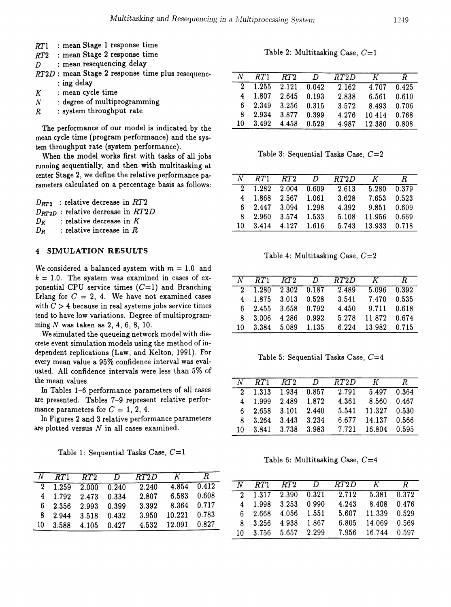- *RT1* : mean Stage 1 response time<br>*RT2* : mean Stage 2 response time
- RT2 : mean Stage 2 response time<br>
RT2 : Multitasking Case,  $C=1$
- *D* : mean resequencing delay
- *RT2D* : mean Stage 2 response time plus resequenc-<br>: ing delay
- 
- $N$  : degree of multiprogramming<br> $R$  : system throughput rate
- : system throughput rate

The performance of our model is indicated by the mean cycle time (program performance) and the system throughput rate (system performance).

When the model works first with tasks of all jobs Table 3: Sequential Tasks Case,  $C=2$ running sequentially, and then with multitasking at center Stage 2, we define the relative performance parameters calculated on a percentage basis as follows:

|    |  | $D_{RT2}$ : relative decrease in RT2     |  |
|----|--|------------------------------------------|--|
|    |  | $D_{RT2D}$ : relative decrease in $RT2D$ |  |
| Dĸ |  | : relative decrease in $K$               |  |
| Dĸ |  | : relative increase in $R$               |  |

# <sup>4</sup> **SIMULATION RESULTS** Table 4: Multitasking Case, *C=2*

We considered a balanced system with  $m = 1.0$  and  $k = 1.0$ . The system was examined in cases of exponential CPU service times  $(C=1)$  and Branching Erlang for  $C = 2, 4$ . We have not examined cases with  $C > 4$  because in real systems jobs service times tend to have low variations. Degree of multiprogramming  $N$  was taken as  $2, 4, 6, 8, 10.$ 

We simulated the queueing network model with discrete event simulation models using the method of independent replications (Law, and Kelton, 1991). For Table 5: Sequential Tasks Case, *C=4* every mean value a 95% confidence interval was evaluated. All confidence intervals were less than 5% of

Table 1: Sequential Tasks Case, *C=l*

| $N$ $RT1$ |                                      |                     | $RT2$ D $RT2D$ K R |                |       |         |                     |                                      |                                                  |                  |  |
|-----------|--------------------------------------|---------------------|--------------------|----------------|-------|---------|---------------------|--------------------------------------|--------------------------------------------------|------------------|--|
|           |                                      | 2 1.259 2.000 0.240 | 2.240              | $-4.854$ 0.412 |       | $N$ RT1 |                     |                                      | RT2 DRT2D K F                                    |                  |  |
|           | 4 1.792 2.473 0.334                  |                     | 2.807              | 6.583          | 0.608 |         |                     |                                      | $\overline{2}$ 1.317 2.390 0.321 2.712 5.381 0.3 |                  |  |
|           | $6\quad 2.356\quad 2.993\quad 0.399$ |                     | 3.392              | 8.364          | 0.717 |         | 4 1.998 3.253 0.990 |                                      | 4.243                                            | 8.408 0.4        |  |
|           | 8 2.944 3.518 0.432                  |                     | 3.950              | 10.221         | 0.783 |         |                     | $6\quad 2.668\quad 4.056\quad 1.551$ |                                                  | 5.607 11.339 0.5 |  |
|           | 10 3.588 4.105 0.427                 |                     | 4.532 12.091       |                | 0.827 |         | 8 3.256 4.938 1.867 |                                      |                                                  | 6.805 14.069 0.5 |  |
|           |                                      |                     |                    |                |       |         |                     | 10 2.756 5.657 9.900                 | $7.056$ 16.744 0.5                               |                  |  |

|   | $RT2D$ : mean Stage 2 response time plus resequenc- | N  | RT1   | RT2   | D     | RT2D  |        |       |
|---|-----------------------------------------------------|----|-------|-------|-------|-------|--------|-------|
|   | : ing delay                                         |    | 1.255 | 2.121 | 0.042 | 2.162 | 4.707  | 0.425 |
| K | : mean cycle time                                   | 4  | 1.807 | 2.645 | 0.193 | 2.838 | 6.561  | 0.610 |
| Ν | : degree of multiprogramming                        | 6. | 2.349 | 3.256 | 0.315 | 3.572 | 8.493  | 0.706 |
| R | : system throughput rate                            | 8. | 2.934 | 3.877 | 0.399 | 4.276 | 10.414 | 0.768 |
|   | The nextermange of our model is indicated by the    | 10 | 3.492 | 4.458 | 0.529 | 4.987 | 12.380 | 0.808 |

| center Stage 2, we define the relative performance pa-                           | N   | RT1 | RT2                                  | $\overline{D}$ | RT2D  | K                                             |       |
|----------------------------------------------------------------------------------|-----|-----|--------------------------------------|----------------|-------|-----------------------------------------------|-------|
| rameters calculated on a percentage basis as follows:                            |     |     | $1.282$ 2.004 0.609                  |                | 2.613 | 5.280<br>7.653<br>9.851<br>- 11.956<br>13.933 | 0.379 |
| $D_{RT2}$ : relative decrease in RT2<br>$D_{RT2D}$ : relative decrease in $RT2D$ |     |     | 4 1.868 2.567 1.061                  |                | 3.628 |                                               | 0.523 |
|                                                                                  |     |     | $6\quad 2.447\quad 3.094\quad 1.298$ |                | 4.392 |                                               | 0.609 |
| : relative decrease in $K$<br>Dr                                                 | 8.  |     | $2.960$ $3.574$                      | 1.533          | 5.108 |                                               | 0.669 |
| $D_R$ : relative increase in $R$                                                 | 10. |     | $3.414$ $4.127$ $1.616$              |                | 5.743 |                                               | 0.718 |
|                                                                                  |     |     |                                      |                |       |                                               |       |

| N  | RT1 RT2                                 | $\overline{D}$ | RT2D  | K               | R. |
|----|-----------------------------------------|----------------|-------|-----------------|----|
|    | $2 \quad 1.280 \quad 2.302 \quad 0.187$ |                | 2.489 | $5.096$ $0.392$ |    |
|    | 4 1.875 3.013 0.528                     |                | 3.541 | 7.470 0.535     |    |
|    | $6\quad 2.455\quad 3.658\quad 0.792$    |                | 4.450 | 9.711 0.618     |    |
| 8. | $3.006$ $4.286$ 0.992                   |                | 5.278 | 11.872 0.674    |    |
| 10 | 3.384 5.089 1.135                       |                | 6.224 | 13.982 0.715    |    |

| the mean values.                                     | $N$ RT1                              | RT2 D | RT2D                              | К            | R.    |
|------------------------------------------------------|--------------------------------------|-------|-----------------------------------|--------------|-------|
| In Tables 1–6 performance parameters of all cases    |                                      |       | 2 1.313 1.934 0.857 2.791         | 5.497        | 0.364 |
| are presented. Tables 7-9 represent relative perfor- | 4 1.999 2.489 1.872                  |       | 4.361                             | 8.560        | 0.467 |
| mance parameters for $C=1, 2, 4$ .                   | $6\quad 2.658\quad 3.101\quad 2.440$ |       |                                   | 5.541 11.327 | 0.530 |
| In Figures 2 and 3 relative performance parameters   | 8 3.264 3.443 3.234                  |       |                                   | 6.677 14.137 | 0.566 |
| are plotted versus $N$ in all cases examined.        |                                      |       | 10 3.841 3.738 3.983 7.721 16.804 |              | 0.595 |

Table 6: Multitasking *Case, C=4*

|  |                                          | n rii riz Dhizi n                               |                    |                 |  |                                      |                                                    |                    |  |
|--|------------------------------------------|-------------------------------------------------|--------------------|-----------------|--|--------------------------------------|----------------------------------------------------|--------------------|--|
|  |                                          | $2\quad 1.259\quad 2.000\quad 0.240\quad 2.240$ |                    | $4.854$ $0.412$ |  |                                      | $N$ RT1 RT2 D RT2D                                 | $K$ R              |  |
|  | 4 1.792 2.473 0.334                      | 2.807                                           | $6.583$ $0.608$    |                 |  |                                      | $\overline{2}$ 1.317 2.390 0.321 2.712 5.381 0.372 |                    |  |
|  | 6 2.356 2.993 0.399                      | 3.392                                           | 8.364 0.717        |                 |  | 4 1.998 3.253 0.990                  | 4.243                                              | 8.408 0.476        |  |
|  | 8 2.944 3.518 0.432                      | 3.950                                           | $10.221$ $0.783$   |                 |  | $6\quad 2.668\quad 4.056\quad 1.551$ |                                                    | 5.607 11.339 0.529 |  |
|  | $10 \quad 3.588 \quad 4.105 \quad 0.427$ |                                                 | 4.532 12.091 0.827 |                 |  | 8 3.256 4.938 1.867                  |                                                    | 6.805 14.069 0.569 |  |
|  |                                          |                                                 |                    |                 |  | 10 3.756 5.657 2.299                 |                                                    | 7.956 16.744 0.597 |  |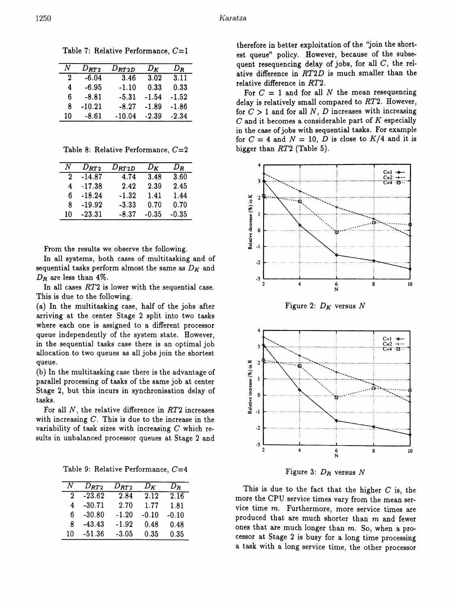|    | $D_{RT2}$ | $D_{\boldsymbol{R T2D}}$ | Dĸ      | Dĸ      |
|----|-----------|--------------------------|---------|---------|
| 2  | $-6.04$   | 3.46                     | 3.02    | 3.11    |
| 4  | -6.95     | -1.10                    | 0.33    | 0.33    |
| 6  | -8.81     | $-5.31$                  | $-1.54$ | $-1.52$ |
| ጸ  | $-10.21$  | $-8.27$                  | $-1.89$ | $-1.86$ |
| 10 | $-8.61$   | $-10.04$                 | $-2.39$ | $-2.34$ |

Table 7: Relative Performance,  $C=1$ 

Table 8: Relative Performance,  $C=2$ 

| Ν  | $D_{RT2}$ | $D_{\boldsymbol{R}T2D}$ | $D_K$ | $D_{\boldsymbol{R}}$ |
|----|-----------|-------------------------|-------|----------------------|
| 2  | $-14.87$  | 4.74                    | 3.48  | 3.60                 |
| 4  | $-17.38$  | 2.42                    | 2.39  | 2.45                 |
| 6  | $-18.24$  | $-1.32$                 | 1.41  | 1.44                 |
| Я  | -19.92    | $-3.33$                 | 0.70  | 0.70                 |
| 10 | $-23.31$  | -8.37                   | -0.35 | -0.35                |

From the results we observe the following.

In all systems, both cases of multitasking and of sequential tasks perform almost the same as  $D_K$  and  $D_R$  are less than 4%.

In all cases  $RT2$  is lower with the sequential case. This is due to the following.

(a) In the multitasking case, half of the jobs after arriving at the center Stage 2 split into two tasks where each one is assigned to a different processor queue independently of the system state. However, in the sequential tasks case there is an optimal job allocation to two queues as all jobs join the shortest queue.

(b) In the multitasking case there is the advantage of parallel processing of tasks of the same job at center Stage 2, but this incurs in synchronisation delay of tasks.

For all  $N$ , the relative difference in  $RT2$  increases with increasing  $C$ . This is due to the increase in the variability of task sizes with increasing  $C$  which results in unbalanced processor queues at Stage 2 and

Table 9: Relative Performance,  $C=4$ 

| Ν  | $D_{RT2}$ | $D_{RT2}$ | Dκ      | $D_{\boldsymbol{B}}$ |
|----|-----------|-----------|---------|----------------------|
| 2  | $-23.62$  | 2.84      | 2.12    | 2.16                 |
| 4  | $-30.71$  | 2.70      | 1.77    | 1.81                 |
| 6  | $-30.80$  | $-1.20$   | $-0.10$ | $-0.10$              |
| 8  | $-43.43$  | $-1.92$   | 0.48    | 0.48                 |
| 10 | $-51.36$  | $-3.05$   | 0.35    | 0.35                 |

therefore in better exploitation of the "join the shortest queue" policy. However, because of the subsequent resequencing delay of jobs, for all  $C$ , the relative difference in RT2D is much smaller than the relative difference in  $RT2$ .

For  $C = 1$  and for all N the mean resequencing delay is relatively small compared to  $RT2$ . However, for  $C > 1$  and for all N, D increases with increasing  $C$  and it becomes a considerable part of  $K$  especially in the case of jobs with sequential tasks. For example for  $C = 4$  and  $N = 10$ , D is close to  $K/4$  and it is bigger than RT2 (Table 5).



Figure 2:  $D_K$  versus N



Figure 3:  $D_R$  versus N

This is due to the fact that the higher  $C$  is, the more the CPU service times vary from the mean service time m. Furthermore, more service times are produced that are much shorter than m and fewer ones that are much longer than m. So, when a processor at Stage 2 is busy for a long time processing a task with a long service time, the other processor